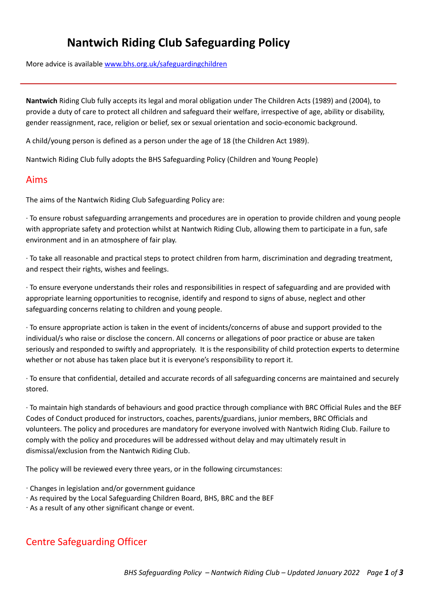# **Nantwich Riding Club Safeguarding Policy**

More advice is available [www.bhs.org.uk/safeguardingchildren](http://www.bhs.org.uk/safeguardingchildren)

**Nantwich** Riding Club fully accepts its legal and moral obligation under The Children Acts (1989) and (2004), to provide a duty of care to protect all children and safeguard their welfare, irrespective of age, ability or disability, gender reassignment, race, religion or belief, sex or sexual orientation and socio-economic background.

A child/young person is defined as a person under the age of 18 (the Children Act 1989).

Nantwich Riding Club fully adopts the BHS Safeguarding Policy (Children and Young People)

#### Aims

The aims of the Nantwich Riding Club Safeguarding Policy are:

∙ To ensure robust safeguarding arrangements and procedures are in operation to provide children and young people with appropriate safety and protection whilst at Nantwich Riding Club, allowing them to participate in a fun, safe environment and in an atmosphere of fair play.

∙ To take all reasonable and practical steps to protect children from harm, discrimination and degrading treatment, and respect their rights, wishes and feelings.

∙ To ensure everyone understands their roles and responsibilities in respect of safeguarding and are provided with appropriate learning opportunities to recognise, identify and respond to signs of abuse, neglect and other safeguarding concerns relating to children and young people.

∙ To ensure appropriate action is taken in the event of incidents/concerns of abuse and support provided to the individual/s who raise or disclose the concern. All concerns or allegations of poor practice or abuse are taken seriously and responded to swiftly and appropriately. It is the responsibility of child protection experts to determine whether or not abuse has taken place but it is everyone's responsibility to report it.

∙ To ensure that confidential, detailed and accurate records of all safeguarding concerns are maintained and securely stored.

∙ To maintain high standards of behaviours and good practice through compliance with BRC Official Rules and the BEF Codes of Conduct produced for instructors, coaches, parents/guardians, junior members, BRC Officials and volunteers. The policy and procedures are mandatory for everyone involved with Nantwich Riding Club. Failure to comply with the policy and procedures will be addressed without delay and may ultimately result in dismissal/exclusion from the Nantwich Riding Club.

The policy will be reviewed every three years, or in the following circumstances:

- ∙ Changes in legislation and/or government guidance
- ∙ As required by the Local Safeguarding Children Board, BHS, BRC and the BEF
- ∙ As a result of any other significant change or event.

## Centre Safeguarding Officer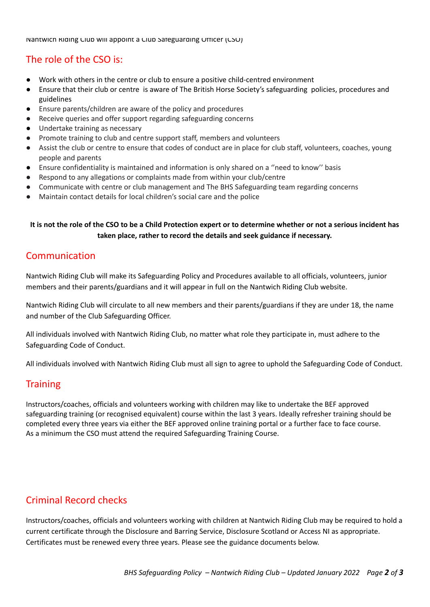Nantwich Riding Club will appoint a Club Safeguarding Officer (CSO)

# The role of the CSO is:

- Work with others in the centre or club to ensure a positive child-centred environment
- Ensure that their club or centre is aware of The British Horse Society's safeguarding policies, procedures and guidelines
- Ensure parents/children are aware of the policy and procedures
- Receive queries and offer support regarding safeguarding concerns
- Undertake training as necessary
- Promote training to club and centre support staff, members and volunteers
- Assist the club or centre to ensure that codes of conduct are in place for club staff, volunteers, coaches, young people and parents
- Ensure confidentiality is maintained and information is only shared on a "need to know" basis
- Respond to any allegations or complaints made from within your club/centre
- Communicate with centre or club management and The BHS Safeguarding team regarding concerns
- Maintain contact details for local children's social care and the police

#### It is not the role of the CSO to be a Child Protection expert or to determine whether or not a serious incident has **taken place, rather to record the details and seek guidance if necessary.**

### Communication

Nantwich Riding Club will make its Safeguarding Policy and Procedures available to all officials, volunteers, junior members and their parents/guardians and it will appear in full on the Nantwich Riding Club website.

Nantwich Riding Club will circulate to all new members and their parents/guardians if they are under 18, the name and number of the Club Safeguarding Officer.

All individuals involved with Nantwich Riding Club, no matter what role they participate in, must adhere to the Safeguarding Code of Conduct.

All individuals involved with Nantwich Riding Club must all sign to agree to uphold the Safeguarding Code of Conduct.

### Training

Instructors/coaches, officials and volunteers working with children may like to undertake the BEF approved safeguarding training (or recognised equivalent) course within the last 3 years. Ideally refresher training should be completed every three years via either the BEF approved online training portal or a further face to face course. As a minimum the CSO must attend the required Safeguarding Training Course.

## Criminal Record checks

Instructors/coaches, officials and volunteers working with children at Nantwich Riding Club may be required to hold a current certificate through the Disclosure and Barring Service, Disclosure Scotland or Access NI as appropriate. Certificates must be renewed every three years. Please see the guidance documents below.